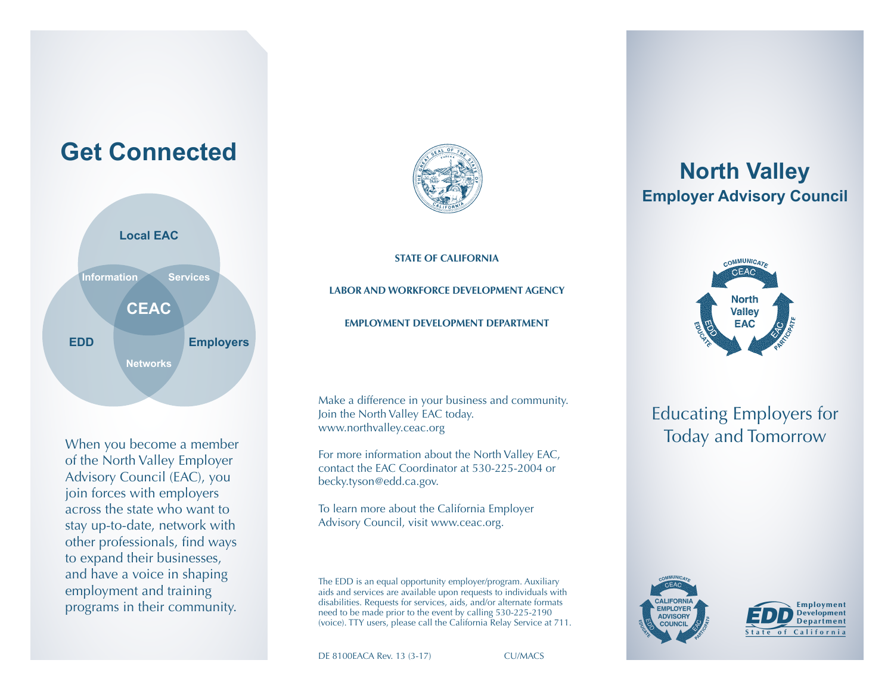



When you become a member of the North Valley Employer Advisory Council (EAC), you join forces with employers across the state who want to stay up-to-date, network with other professionals, find ways to expand their businesses, and have a voice in shaping employment and training programs in their community.



**STATE OF CALIFORNIA**

**LABOR AND WORKFORCE DEVELOPMENT AGENCY EMPLOYMENT DEVELOPMENT DEPARTMENT**

Make a difference in your business and community. Join the North Valley EAC today. www.northvalley.ceac.org

For more information about the North Valley EAC, contact the EAC Coordinator at 530-225-2004 or becky.tyson@edd.ca.gov.

To learn more about the California Employer Advisory Council, visit www.ceac.org.

The EDD is an equal opportunity employer/program. Auxiliary aids and services are available upon requests to individuals with disabilities. Requests for services, aids, and/or alternate formats need to be made prior to the event by calling 530-225-2190 (voice). TTY users, please call the California Relay Service at 711.

DE 8100EACA Rev. 13 (3-17) CU/MACS

# **North Valley Employer Advisory Council**



## Educating Employers for Today and Tomorrow